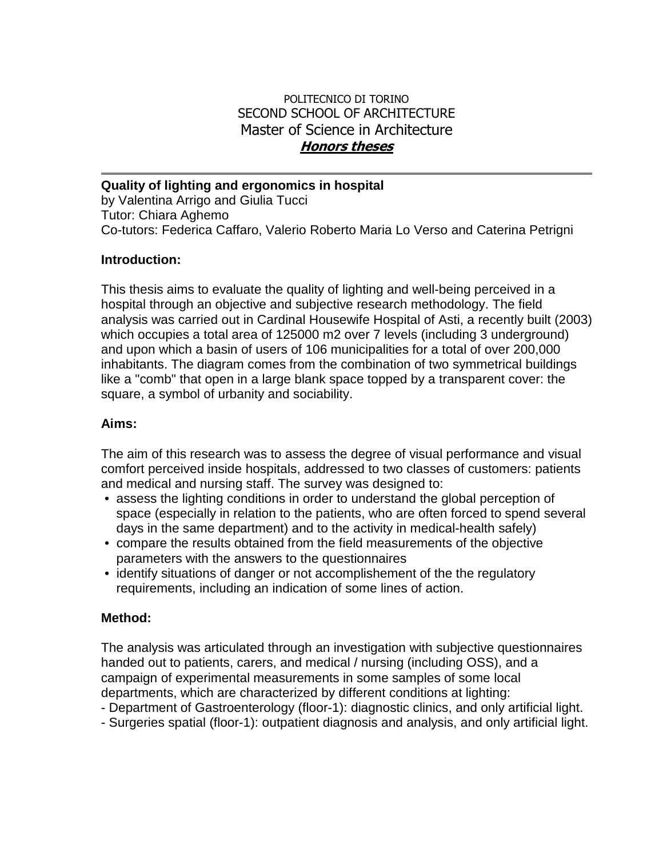## POLITECNICO DI TORINO SECOND SCHOOL OF ARCHITECTURE Master of Science in Architecture **Honors theses**

**Quality of lighting and ergonomics in hospital**  by Valentina Arrigo and Giulia Tucci Tutor: Chiara Aghemo Co-tutors: Federica Caffaro, Valerio Roberto Maria Lo Verso and Caterina Petrigni

### **Introduction:**

This thesis aims to evaluate the quality of lighting and well-being perceived in a hospital through an objective and subjective research methodology. The field analysis was carried out in Cardinal Housewife Hospital of Asti, a recently built (2003) which occupies a total area of 125000 m2 over 7 levels (including 3 underground) and upon which a basin of users of 106 municipalities for a total of over 200,000 inhabitants. The diagram comes from the combination of two symmetrical buildings like a "comb" that open in a large blank space topped by a transparent cover: the square, a symbol of urbanity and sociability.

#### **Aims:**

The aim of this research was to assess the degree of visual performance and visual comfort perceived inside hospitals, addressed to two classes of customers: patients and medical and nursing staff. The survey was designed to:

- assess the lighting conditions in order to understand the global perception of space (especially in relation to the patients, who are often forced to spend several days in the same department) and to the activity in medical-health safely)
- compare the results obtained from the field measurements of the objective parameters with the answers to the questionnaires
- identify situations of danger or not accomplishement of the the regulatory requirements, including an indication of some lines of action.

#### **Method:**

The analysis was articulated through an investigation with subjective questionnaires handed out to patients, carers, and medical / nursing (including OSS), and a campaign of experimental measurements in some samples of some local departments, which are characterized by different conditions at lighting:

- Department of Gastroenterology (floor-1): diagnostic clinics, and only artificial light.
- Surgeries spatial (floor-1): outpatient diagnosis and analysis, and only artificial light.